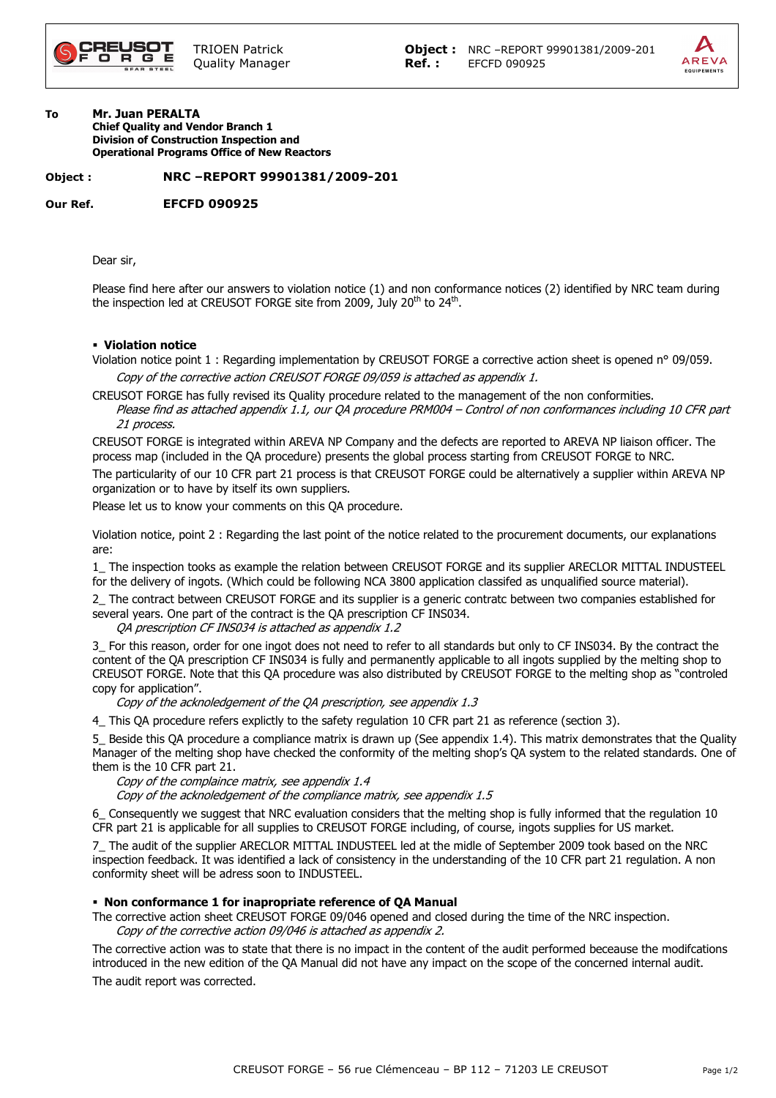

#### To Mr. Juan PERALTA Chief Quality and Vendor Branch 1 Division of Construction Inspection and Operational Programs Office of New Reactors

# Object : NRC –REPORT 99901381/2009-201

Our Ref. EFCFD 090925

Dear sir,

Please find here after our answers to violation notice (1) and non conformance notices (2) identified by NRC team during the inspection led at CREUSOT FORGE site from 2009, July 20<sup>th</sup> to 24<sup>th</sup>.

### Violation notice

Violation notice point 1 : Regarding implementation by CREUSOT FORGE a corrective action sheet is opened n° 09/059. Copy of the corrective action CREUSOT FORGE 09/059 is attached as appendix 1.

CREUSOT FORGE has fully revised its Quality procedure related to the management of the non conformities. Please find as attached appendix 1.1, our QA procedure PRM004 – Control of non conformances including 10 CFR part 21 process.

CREUSOT FORGE is integrated within AREVA NP Company and the defects are reported to AREVA NP liaison officer. The process map (included in the QA procedure) presents the global process starting from CREUSOT FORGE to NRC.

The particularity of our 10 CFR part 21 process is that CREUSOT FORGE could be alternatively a supplier within AREVA NP organization or to have by itself its own suppliers.

Please let us to know your comments on this QA procedure.

Violation notice, point 2 : Regarding the last point of the notice related to the procurement documents, our explanations are:

1\_ The inspection tooks as example the relation between CREUSOT FORGE and its supplier ARECLOR MITTAL INDUSTEEL for the delivery of ingots. (Which could be following NCA 3800 application classifed as unqualified source material).

2\_ The contract between CREUSOT FORGE and its supplier is a generic contratc between two companies established for several years. One part of the contract is the QA prescription CF INS034.

QA prescription CF INS034 is attached as appendix 1.2

3\_ For this reason, order for one ingot does not need to refer to all standards but only to CF INS034. By the contract the content of the QA prescription CF INS034 is fully and permanently applicable to all ingots supplied by the melting shop to CREUSOT FORGE. Note that this QA procedure was also distributed by CREUSOT FORGE to the melting shop as "controled copy for application".

Copy of the acknoledgement of the QA prescription, see appendix 1.3

4\_ This QA procedure refers explictly to the safety regulation 10 CFR part 21 as reference (section 3).

5\_ Beside this QA procedure a compliance matrix is drawn up (See appendix 1.4). This matrix demonstrates that the Quality Manager of the melting shop have checked the conformity of the melting shop's QA system to the related standards. One of them is the 10 CFR part 21.

Copy of the complaince matrix, see appendix 1.4

Copy of the acknoledgement of the compliance matrix, see appendix 1.5

6\_ Consequently we suggest that NRC evaluation considers that the melting shop is fully informed that the regulation 10 CFR part 21 is applicable for all supplies to CREUSOT FORGE including, of course, ingots supplies for US market.

7\_ The audit of the supplier ARECLOR MITTAL INDUSTEEL led at the midle of September 2009 took based on the NRC inspection feedback. It was identified a lack of consistency in the understanding of the 10 CFR part 21 regulation. A non conformity sheet will be adress soon to INDUSTEEL.

# Non conformance 1 for inapropriate reference of QA Manual

The corrective action sheet CREUSOT FORGE 09/046 opened and closed during the time of the NRC inspection. Copy of the corrective action 09/046 is attached as appendix 2.

The corrective action was to state that there is no impact in the content of the audit performed beceause the modifcations introduced in the new edition of the QA Manual did not have any impact on the scope of the concerned internal audit.

The audit report was corrected.